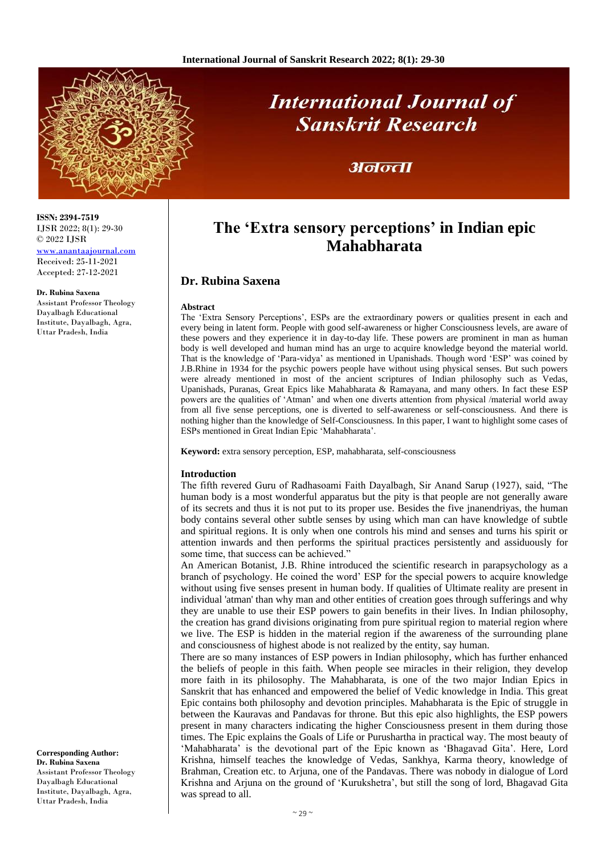

# **International Journal of Sanskrit Research**

## अनन्ता

## **The 'Extra sensory perceptions' in Indian epic Mahabharata**

### **Dr. Rubina Saxena**

#### **Abstract**

The 'Extra Sensory Perceptions', ESPs are the extraordinary powers or qualities present in each and every being in latent form. People with good self-awareness or higher Consciousness levels, are aware of these powers and they experience it in day-to-day life. These powers are prominent in man as human body is well developed and human mind has an urge to acquire knowledge beyond the material world. That is the knowledge of 'Para-vidya' as mentioned in Upanishads. Though word 'ESP' was coined by J.B.Rhine in 1934 for the psychic powers people have without using physical senses. But such powers were already mentioned in most of the ancient scriptures of Indian philosophy such as Vedas, Upanishads, Puranas, Great Epics like Mahabharata & Ramayana, and many others. In fact these ESP powers are the qualities of 'Atman' and when one diverts attention from physical /material world away from all five sense perceptions, one is diverted to self-awareness or self-consciousness. And there is nothing higher than the knowledge of Self-Consciousness. In this paper, I want to highlight some cases of ESPs mentioned in Great Indian Epic 'Mahabharata'.

**Keyword:** extra sensory perception, ESP, mahabharata, self-consciousness

#### **Introduction**

The fifth revered Guru of Radhasoami Faith Dayalbagh, Sir Anand Sarup (1927), said, "The human body is a most wonderful apparatus but the pity is that people are not generally aware of its secrets and thus it is not put to its proper use. Besides the five jnanendriyas, the human body contains several other subtle senses by using which man can have knowledge of subtle and spiritual regions. It is only when one controls his mind and senses and turns his spirit or attention inwards and then performs the spiritual practices persistently and assiduously for some time, that success can be achieved."

An American Botanist, J.B. Rhine introduced the scientific research in parapsychology as a branch of psychology. He coined the word' ESP for the special powers to acquire knowledge without using five senses present in human body. If qualities of Ultimate reality are present in individual 'atman' than why man and other entities of creation goes through sufferings and why they are unable to use their ESP powers to gain benefits in their lives. In Indian philosophy, the creation has grand divisions originating from pure spiritual region to material region where we live. The ESP is hidden in the material region if the awareness of the surrounding plane and consciousness of highest abode is not realized by the entity, say human.

There are so many instances of ESP powers in Indian philosophy, which has further enhanced the beliefs of people in this faith. When people see miracles in their religion, they develop more faith in its philosophy. The Mahabharata, is one of the two major Indian Epics in Sanskrit that has enhanced and empowered the belief of Vedic knowledge in India. This great Epic contains both philosophy and devotion principles. Mahabharata is the Epic of struggle in between the Kauravas and Pandavas for throne. But this epic also highlights, the ESP powers present in many characters indicating the higher Consciousness present in them during those times. The Epic explains the Goals of Life or Purushartha in practical way. The most beauty of 'Mahabharata' is the devotional part of the Epic known as 'Bhagavad Gita'. Here, Lord Krishna, himself teaches the knowledge of Vedas, Sankhya, Karma theory, knowledge of Brahman, Creation etc. to Arjuna, one of the Pandavas. There was nobody in dialogue of Lord Krishna and Arjuna on the ground of 'Kurukshetra', but still the song of lord, Bhagavad Gita was spread to all.

**ISSN: 2394-7519** IJSR 2022; 8(1): 29-30 © 2022 IJSR

[www.anantaajournal.com](http://www.anantaajournal.com/) Received: 25-11-2021 Accepted: 27-12-2021

#### **Dr. Rubina Saxena**

Assistant Professor Theology Dayalbagh Educational Institute, Dayalbagh, Agra, Uttar Pradesh, India

**Corresponding Author: Dr. Rubina Saxena** Assistant Professor Theology Dayalbagh Educational Institute, Dayalbagh, Agra, Uttar Pradesh, India